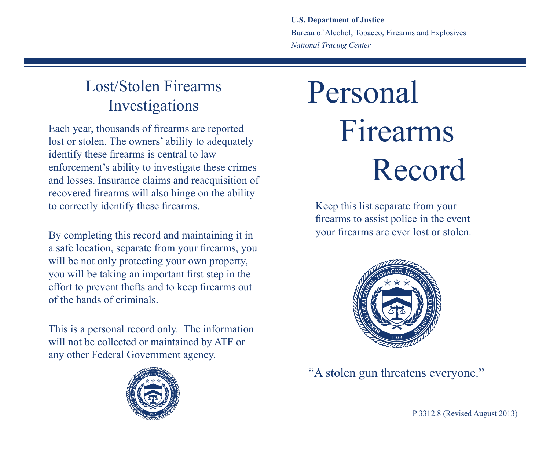**U.S. Department of Justice** Bureau of Alcohol, Tobacco, Firearms and Explosives *National Tracing Center*

## Lost/Stolen Firearms Investigations

Each year, thousands of firearms are reported lost or stolen. The owners' ability to adequately identify these firearms is central to law enforcement's ability to investigate these crimes and losses. Insurance claims and reacquisition of recovered firearms will also hinge on the ability to correctly identify these firearms.

By completing this record and maintaining it in a safe location, separate from your firearms, you will be not only protecting your own property, you will be taking an important first step in the effort to prevent thefts and to keep firearms out of the hands of criminals.

This is a personal record only. The information will not be collected or maintained by ATF or any other Federal Government agency.



## Personal Firearms Record

Keep this list separate from your firearms to assist police in the event your firearms are ever lost or stolen.



"A stolen gun threatens everyone."

P 3312.8 (Revised August 2013)